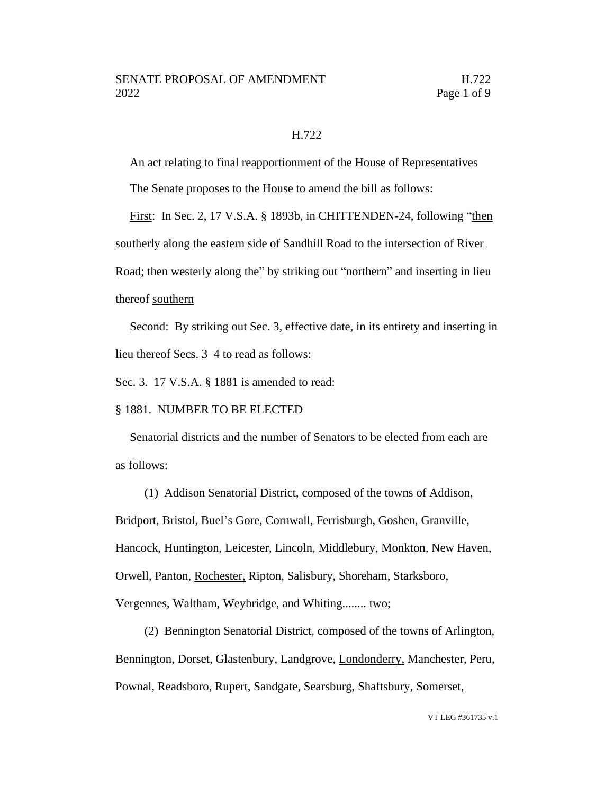## H.722

An act relating to final reapportionment of the House of Representatives

The Senate proposes to the House to amend the bill as follows:

First: In Sec. 2, 17 V.S.A. § 1893b, in CHITTENDEN-24, following "then southerly along the eastern side of Sandhill Road to the intersection of River Road; then westerly along the" by striking out "northern" and inserting in lieu thereof southern

Second: By striking out Sec. 3, effective date, in its entirety and inserting in lieu thereof Secs. 3–4 to read as follows:

Sec. 3. 17 V.S.A. § 1881 is amended to read:

## § 1881. NUMBER TO BE ELECTED

Senatorial districts and the number of Senators to be elected from each are as follows:

(1) Addison Senatorial District, composed of the towns of Addison, Bridport, Bristol, Buel's Gore, Cornwall, Ferrisburgh, Goshen, Granville, Hancock, Huntington, Leicester, Lincoln, Middlebury, Monkton, New Haven, Orwell, Panton, Rochester, Ripton, Salisbury, Shoreham, Starksboro, Vergennes, Waltham, Weybridge, and Whiting........ two;

(2) Bennington Senatorial District, composed of the towns of Arlington, Bennington, Dorset, Glastenbury, Landgrove, Londonderry, Manchester, Peru, Pownal, Readsboro, Rupert, Sandgate, Searsburg, Shaftsbury, Somerset,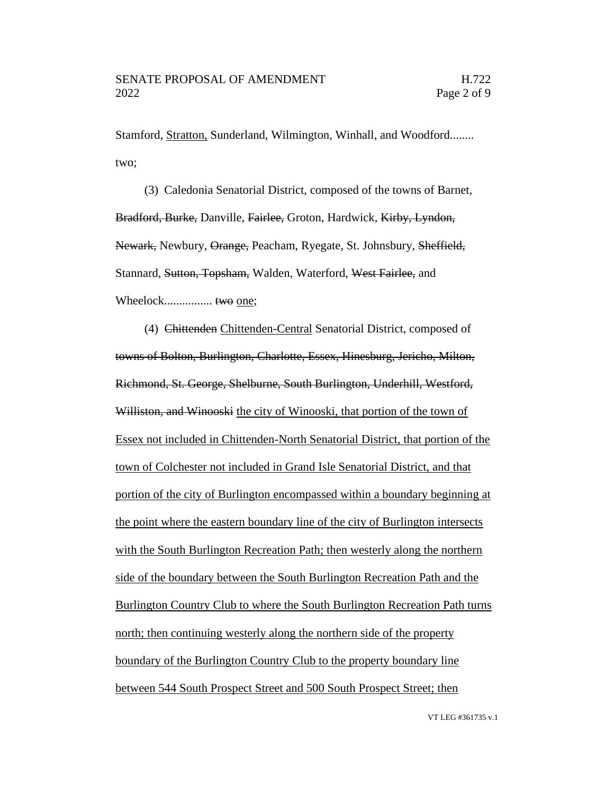Stamford, Stratton, Sunderland, Wilmington, Winhall, and Woodford........ two;

(3) Caledonia Senatorial District, composed of the towns of Barnet, Bradford, Burke, Danville, Fairlee, Groton, Hardwick, Kirby, Lyndon, Newark, Newbury, Orange, Peacham, Ryegate, St. Johnsbury, Sheffield, Stannard, Sutton, Topsham, Walden, Waterford, West Fairlee, and Wheelock................ two one;

(4) Chittenden Chittenden-Central Senatorial District, composed of towns of Bolton, Burlington, Charlotte, Essex, Hinesburg, Jericho, Milton, Richmond, St. George, Shelburne, South Burlington, Underhill, Westford, Williston, and Winooski the city of Winooski, that portion of the town of Essex not included in Chittenden-North Senatorial District, that portion of the town of Colchester not included in Grand Isle Senatorial District, and that portion of the city of Burlington encompassed within a boundary beginning at the point where the eastern boundary line of the city of Burlington intersects with the South Burlington Recreation Path; then westerly along the northern side of the boundary between the South Burlington Recreation Path and the Burlington Country Club to where the South Burlington Recreation Path turns north; then continuing westerly along the northern side of the property boundary of the Burlington Country Club to the property boundary line between 544 South Prospect Street and 500 South Prospect Street; then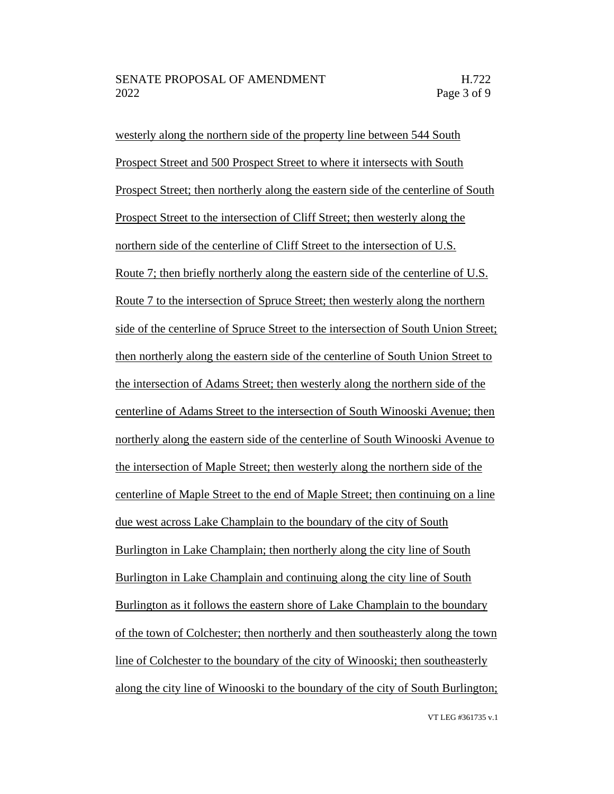westerly along the northern side of the property line between 544 South Prospect Street and 500 Prospect Street to where it intersects with South Prospect Street; then northerly along the eastern side of the centerline of South Prospect Street to the intersection of Cliff Street; then westerly along the northern side of the centerline of Cliff Street to the intersection of U.S. Route 7; then briefly northerly along the eastern side of the centerline of U.S. Route 7 to the intersection of Spruce Street; then westerly along the northern side of the centerline of Spruce Street to the intersection of South Union Street; then northerly along the eastern side of the centerline of South Union Street to the intersection of Adams Street; then westerly along the northern side of the centerline of Adams Street to the intersection of South Winooski Avenue; then northerly along the eastern side of the centerline of South Winooski Avenue to the intersection of Maple Street; then westerly along the northern side of the centerline of Maple Street to the end of Maple Street; then continuing on a line due west across Lake Champlain to the boundary of the city of South Burlington in Lake Champlain; then northerly along the city line of South Burlington in Lake Champlain and continuing along the city line of South Burlington as it follows the eastern shore of Lake Champlain to the boundary of the town of Colchester; then northerly and then southeasterly along the town line of Colchester to the boundary of the city of Winooski; then southeasterly along the city line of Winooski to the boundary of the city of South Burlington;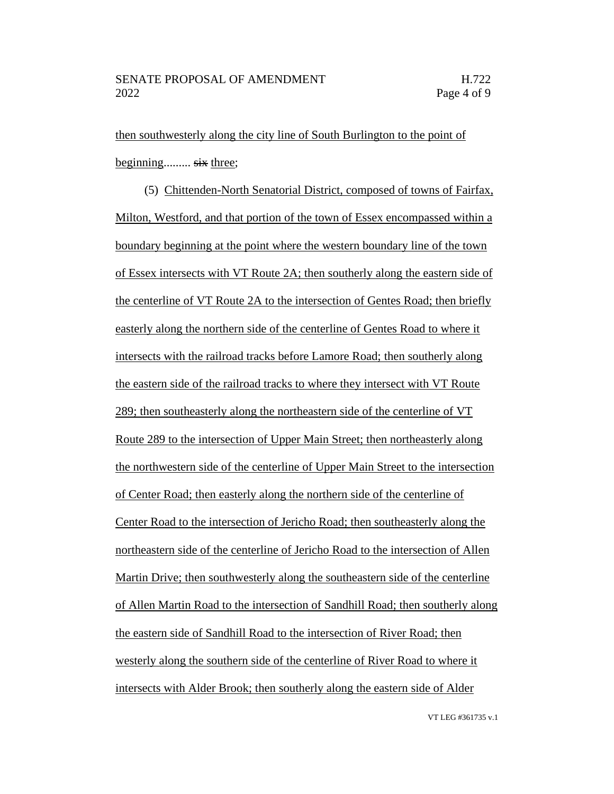then southwesterly along the city line of South Burlington to the point of beginning......... six three;

(5) Chittenden-North Senatorial District, composed of towns of Fairfax, Milton, Westford, and that portion of the town of Essex encompassed within a boundary beginning at the point where the western boundary line of the town of Essex intersects with VT Route 2A; then southerly along the eastern side of the centerline of VT Route 2A to the intersection of Gentes Road; then briefly easterly along the northern side of the centerline of Gentes Road to where it intersects with the railroad tracks before Lamore Road; then southerly along the eastern side of the railroad tracks to where they intersect with VT Route 289; then southeasterly along the northeastern side of the centerline of VT Route 289 to the intersection of Upper Main Street; then northeasterly along the northwestern side of the centerline of Upper Main Street to the intersection of Center Road; then easterly along the northern side of the centerline of Center Road to the intersection of Jericho Road; then southeasterly along the northeastern side of the centerline of Jericho Road to the intersection of Allen Martin Drive; then southwesterly along the southeastern side of the centerline of Allen Martin Road to the intersection of Sandhill Road; then southerly along the eastern side of Sandhill Road to the intersection of River Road; then westerly along the southern side of the centerline of River Road to where it intersects with Alder Brook; then southerly along the eastern side of Alder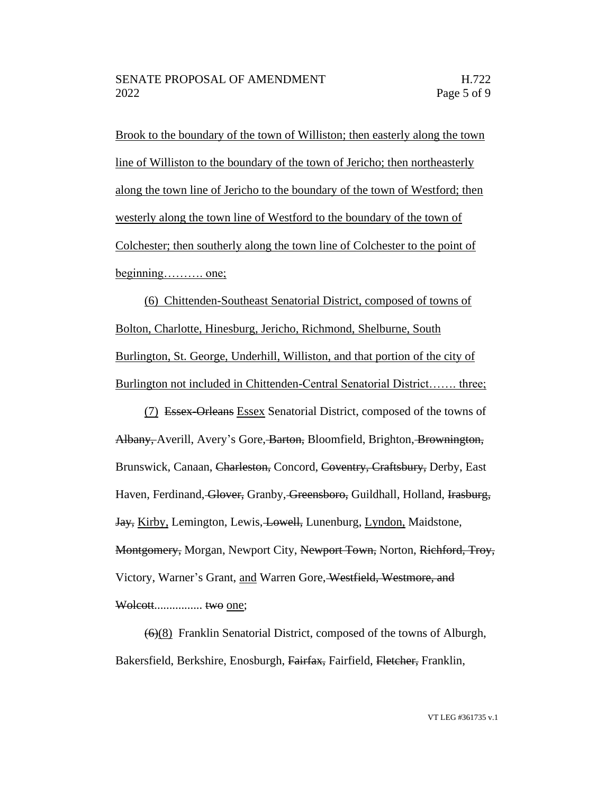Brook to the boundary of the town of Williston; then easterly along the town line of Williston to the boundary of the town of Jericho; then northeasterly along the town line of Jericho to the boundary of the town of Westford; then westerly along the town line of Westford to the boundary of the town of Colchester; then southerly along the town line of Colchester to the point of beginning……….. one;

(6) Chittenden-Southeast Senatorial District, composed of towns of Bolton, Charlotte, Hinesburg, Jericho, Richmond, Shelburne, South Burlington, St. George, Underhill, Williston, and that portion of the city of Burlington not included in Chittenden-Central Senatorial District……. three;

(7) Essex-Orleans Essex Senatorial District, composed of the towns of Albany, Averill, Avery's Gore, Barton, Bloomfield, Brighton, Brownington, Brunswick, Canaan, Charleston, Concord, Coventry, Craftsbury, Derby, East Haven, Ferdinand, Glover, Granby, Greensboro, Guildhall, Holland, Irasburg, Jay, Kirby, Lemington, Lewis, Lowell, Lunenburg, Lyndon, Maidstone, Montgomery, Morgan, Newport City, Newport Town, Norton, Richford, Troy, Victory, Warner's Grant, and Warren Gore, Westfield, Westmore, and Wolcott................ two one;

(6)(8) Franklin Senatorial District, composed of the towns of Alburgh, Bakersfield, Berkshire, Enosburgh, Fairfax, Fairfield, Fletcher, Franklin,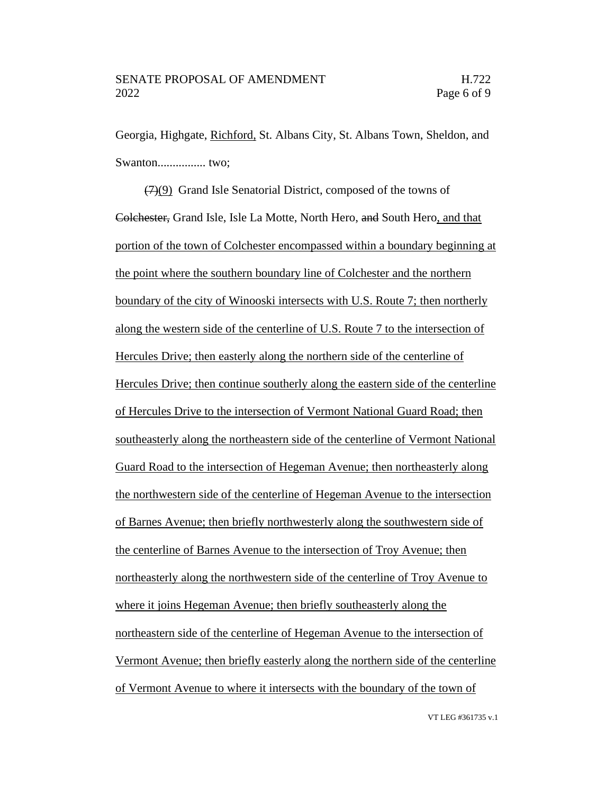Georgia, Highgate, Richford, St. Albans City, St. Albans Town, Sheldon, and Swanton................ two;

(7)(9) Grand Isle Senatorial District, composed of the towns of Colchester, Grand Isle, Isle La Motte, North Hero, and South Hero, and that portion of the town of Colchester encompassed within a boundary beginning at the point where the southern boundary line of Colchester and the northern boundary of the city of Winooski intersects with U.S. Route 7; then northerly along the western side of the centerline of U.S. Route 7 to the intersection of Hercules Drive; then easterly along the northern side of the centerline of Hercules Drive; then continue southerly along the eastern side of the centerline of Hercules Drive to the intersection of Vermont National Guard Road; then southeasterly along the northeastern side of the centerline of Vermont National Guard Road to the intersection of Hegeman Avenue; then northeasterly along the northwestern side of the centerline of Hegeman Avenue to the intersection of Barnes Avenue; then briefly northwesterly along the southwestern side of the centerline of Barnes Avenue to the intersection of Troy Avenue; then northeasterly along the northwestern side of the centerline of Troy Avenue to where it joins Hegeman Avenue; then briefly southeasterly along the northeastern side of the centerline of Hegeman Avenue to the intersection of Vermont Avenue; then briefly easterly along the northern side of the centerline of Vermont Avenue to where it intersects with the boundary of the town of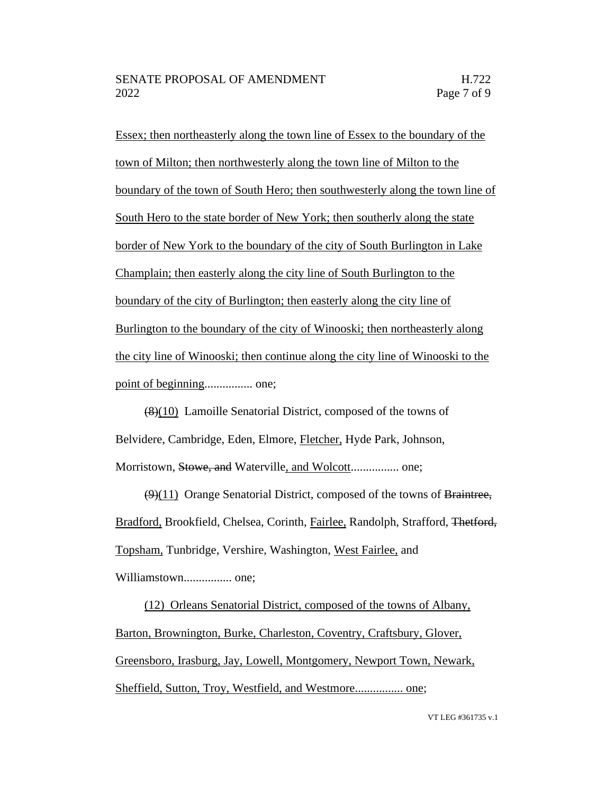Essex; then northeasterly along the town line of Essex to the boundary of the town of Milton; then northwesterly along the town line of Milton to the boundary of the town of South Hero; then southwesterly along the town line of South Hero to the state border of New York; then southerly along the state border of New York to the boundary of the city of South Burlington in Lake Champlain; then easterly along the city line of South Burlington to the boundary of the city of Burlington; then easterly along the city line of Burlington to the boundary of the city of Winooski; then northeasterly along the city line of Winooski; then continue along the city line of Winooski to the point of beginning................ one;

(8)(10) Lamoille Senatorial District, composed of the towns of Belvidere, Cambridge, Eden, Elmore, Fletcher, Hyde Park, Johnson, Morristown, Stowe, and Waterville, and Wolcott................ one;

 $(9)(11)$  Orange Senatorial District, composed of the towns of Braintree, Bradford, Brookfield, Chelsea, Corinth, Fairlee, Randolph, Strafford, Thetford, Topsham, Tunbridge, Vershire, Washington, West Fairlee, and Williamstown................ one;

(12) Orleans Senatorial District, composed of the towns of Albany, Barton, Brownington, Burke, Charleston, Coventry, Craftsbury, Glover, Greensboro, Irasburg, Jay, Lowell, Montgomery, Newport Town, Newark, Sheffield, Sutton, Troy, Westfield, and Westmore................ one;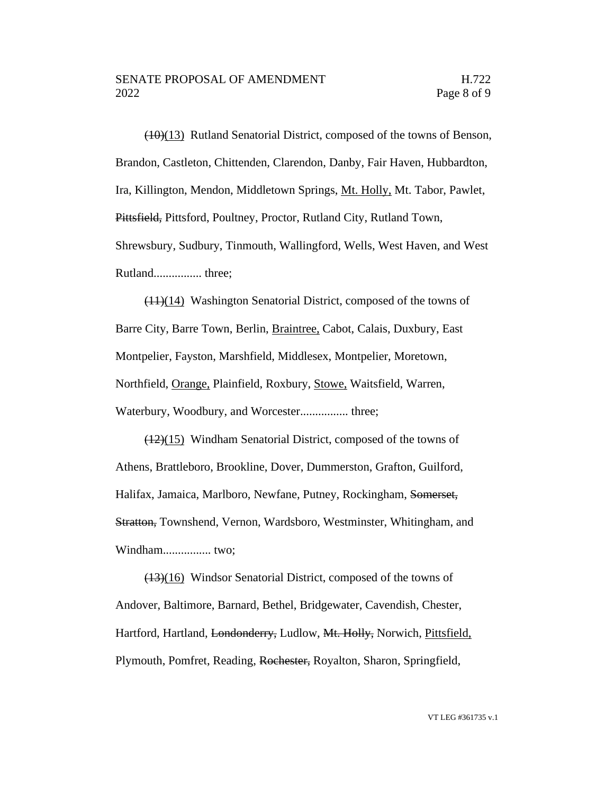(10)(13) Rutland Senatorial District, composed of the towns of Benson, Brandon, Castleton, Chittenden, Clarendon, Danby, Fair Haven, Hubbardton, Ira, Killington, Mendon, Middletown Springs, Mt. Holly, Mt. Tabor, Pawlet, Pittsfield, Pittsford, Poultney, Proctor, Rutland City, Rutland Town, Shrewsbury, Sudbury, Tinmouth, Wallingford, Wells, West Haven, and West Rutland................ three;

(11)(14) Washington Senatorial District, composed of the towns of Barre City, Barre Town, Berlin, Braintree, Cabot, Calais, Duxbury, East Montpelier, Fayston, Marshfield, Middlesex, Montpelier, Moretown, Northfield, Orange, Plainfield, Roxbury, Stowe, Waitsfield, Warren, Waterbury, Woodbury, and Worcester................ three;

 $(12)(15)$  Windham Senatorial District, composed of the towns of Athens, Brattleboro, Brookline, Dover, Dummerston, Grafton, Guilford, Halifax, Jamaica, Marlboro, Newfane, Putney, Rockingham, Somerset, Stratton, Townshend, Vernon, Wardsboro, Westminster, Whitingham, and Windham................ two;

(13)(16) Windsor Senatorial District, composed of the towns of Andover, Baltimore, Barnard, Bethel, Bridgewater, Cavendish, Chester, Hartford, Hartland, Londonderry, Ludlow, Mt. Holly, Norwich, Pittsfield, Plymouth, Pomfret, Reading, Rochester, Royalton, Sharon, Springfield,